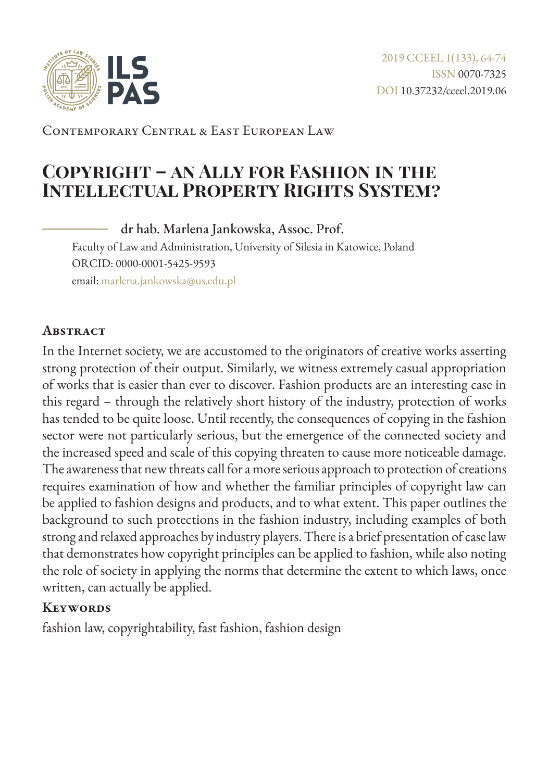

Contemporary Central & East European Law

# **Copyright – an Ally for Fashion in the Intellectual Property Rights System?**

dr hab. Marlena Jankowska, Assoc. Prof.

Faculty of Law and Administration, University of Silesia in Katowice, Poland ORCID: 0000-0001-5425-9593 email: [marlena.jankowska@us.edu.pl](mailto:marlena.jankowska%40us.edu.pl?subject=)

#### **Abstract**

In the Internet society, we are accustomed to the originators of creative works asserting strong protection of their output. Similarly, we witness extremely casual appropriation of works that is easier than ever to discover. Fashion products are an interesting case in this regard – through the relatively short history of the industry, protection of works has tended to be quite loose. Until recently, the consequences of copying in the fashion sector were not particularly serious, but the emergence of the connected society and the increased speed and scale of this copying threaten to cause more noticeable damage. The awareness that new threats call for a more serious approach to protection of creations requires examination of how and whether the familiar principles of copyright law can be applied to fashion designs and products, and to what extent. This paper outlines the background to such protections in the fashion industry, including examples of both strong and relaxed approaches by industry players. There is a brief presentation of case law that demonstrates how copyright principles can be applied to fashion, while also noting the role of society in applying the norms that determine the extent to which laws, once written, can actually be applied.

#### **Keywords**

fashion law, copyrightability, fast fashion, fashion design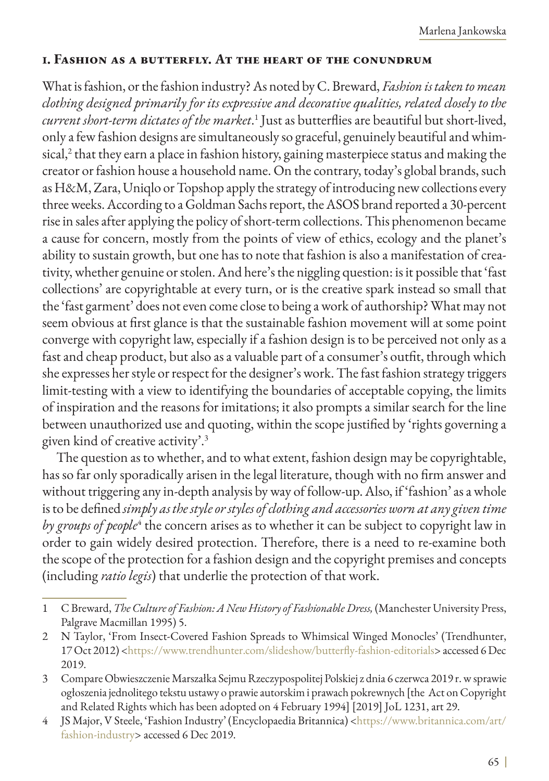#### **1. Fashion as a butterfly. At the heart of the conundrum**

What is fashion, or the fashion industry? As noted by C. Breward, *Fashion is taken to mean clothing designed primarily for its expressive and decorative qualities, related closely to the current short-term dictates of the market*. 1 Just as butterflies are beautiful but short-lived, only a few fashion designs are simultaneously so graceful, genuinely beautiful and whimsical, $^{\rm 2}$  that they earn a place in fashion history, gaining masterpiece status and making the creator or fashion house a household name. On the contrary, today's global brands, such as H&M, Zara, Uniqlo or Topshop apply the strategy of introducing new collections every three weeks. According to a Goldman Sachs report, the ASOS brand reported a 30-percent rise in sales after applying the policy of short-term collections. This phenomenon became a cause for concern, mostly from the points of view of ethics, ecology and the planet's ability to sustain growth, but one has to note that fashion is also a manifestation of creativity, whether genuine or stolen. And here's the niggling question: is it possible that 'fast collections' are copyrightable at every turn, or is the creative spark instead so small that the 'fast garment' does not even come close to being a work of authorship? What may not seem obvious at first glance is that the sustainable fashion movement will at some point converge with copyright law, especially if a fashion design is to be perceived not only as a fast and cheap product, but also as a valuable part of a consumer's outfit, through which she expresses her style or respect for the designer's work. The fast fashion strategy triggers limit-testing with a view to identifying the boundaries of acceptable copying, the limits of inspiration and the reasons for imitations; it also prompts a similar search for the line between unauthorized use and quoting, within the scope justified by 'rights governing a given kind of creative activity'.3

The question as to whether, and to what extent, fashion design may be copyrightable, has so far only sporadically arisen in the legal literature, though with no firm answer and without triggering any in-depth analysis by way of follow-up. Also, if 'fashion' as a whole is to be defined *simply as the style or styles of clothing and accessories worn at any given time*  by groups of people<sup>4</sup> the concern arises as to whether it can be subject to copyright law in order to gain widely desired protection. Therefore, there is a need to re-examine both the scope of the protection for a fashion design and the copyright premises and concepts (including *ratio legis*) that underlie the protection of that work.

<sup>1</sup> C Breward, *The Culture of Fashion: A New History of Fashionable Dress,* (Manchester University Press, Palgrave Macmillan 1995) 5.

<sup>2</sup> N Taylor, 'From Insect-Covered Fashion Spreads to Whimsical Winged Monocles' (Trendhunter, 17 Oct 2012) <[https://www.trendhunter.com/slideshow/butterfly-fashion-editorials>](https://www.trendhunter.com/slideshow/butterfly-fashion-editorials) accessed 6 Dec 2019.

<sup>3</sup> Compare Obwieszczenie Marszałka Sejmu Rzeczypospolitej Polskiej z dnia 6 czerwca 2019 r. w sprawie ogłoszenia jednolitego tekstu ustawy o prawie autorskim i prawach pokrewnych [the Act on Copyright and Related Rights which has been adopted on 4 February 1994] [2019] JoL 1231, art 29.

<sup>4</sup> JS Major, V Steele, 'Fashion Industry' (Encyclopaedia Britannica) [<https://www.britannica.com/art/](https://www.britannica.com/art/fashion-industry) [fashion-industry>](https://www.britannica.com/art/fashion-industry) accessed 6 Dec 2019.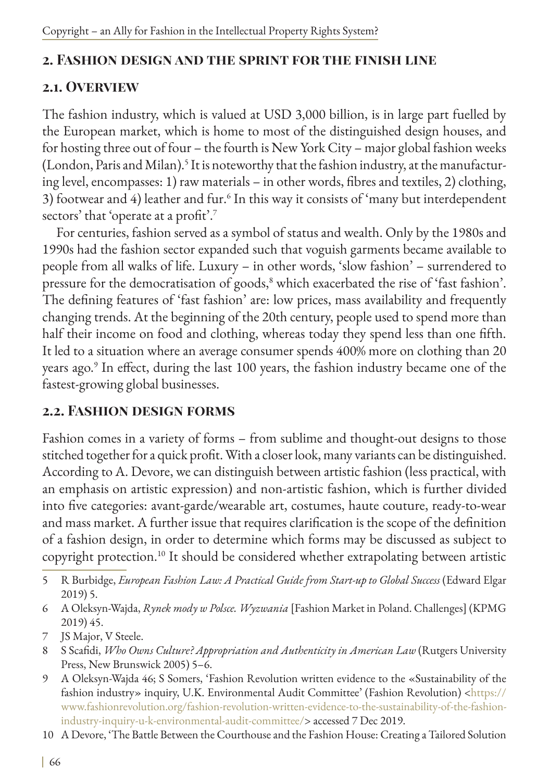## **2. Fashion design and the sprint for the finish line**

### **2.1. Overview**

The fashion industry, which is valued at USD 3,000 billion, is in large part fuelled by the European market, which is home to most of the distinguished design houses, and for hosting three out of four – the fourth is New York City – major global fashion weeks (London, Paris and Milan).<sup>5</sup> It is noteworthy that the fashion industry, at the manufacturing level, encompasses: 1) raw materials – in other words, fibres and textiles, 2) clothing, 3) footwear and 4) leather and fur.<sup>6</sup> In this way it consists of 'many but interdependent sectors' that 'operate at a profit'.<sup>7</sup>

For centuries, fashion served as a symbol of status and wealth. Only by the 1980s and 1990s had the fashion sector expanded such that voguish garments became available to people from all walks of life. Luxury – in other words, 'slow fashion' – surrendered to pressure for the democratisation of goods, $^8$  which exacerbated the rise of 'fast fashion'. The defining features of 'fast fashion' are: low prices, mass availability and frequently changing trends. At the beginning of the 20th century, people used to spend more than half their income on food and clothing, whereas today they spend less than one fifth. It led to a situation where an average consumer spends 400% more on clothing than 20 years ago.<sup>9</sup> In effect, during the last 100 years, the fashion industry became one of the fastest-growing global businesses.

## **2.2. Fashion design forms**

Fashion comes in a variety of forms – from sublime and thought-out designs to those stitched together for a quick profit. With a closer look, many variants can be distinguished. According to A. Devore, we can distinguish between artistic fashion (less practical, with an emphasis on artistic expression) and non-artistic fashion, which is further divided into five categories: avant-garde/wearable art, costumes, haute couture, ready-to-wear and mass market. A further issue that requires clarification is the scope of the definition of a fashion design, in order to determine which forms may be discussed as subject to copyright protection.10 It should be considered whether extrapolating between artistic

- 6 A Oleksyn-Wajda, *Rynek mody w Polsce. Wyzwania* [Fashion Market in Poland. Challenges] (KPMG 2019) 45.
- 7 JS Major, V Steele.
- 8 S Scafidi, *Who Owns Culture? Appropriation and Authenticity in American Law* (Rutgers University Press, New Brunswick 2005) 5–6.
- 9 A Oleksyn-Wajda 46; S Somers, 'Fashion Revolution written evidence to the «Sustainability of the fashion industry» inquiry, U.K. Environmental Audit Committee' (Fashion Revolution) [<https://](https://www.fashionrevolution.org/fashion-revolution-written-evidence-to-the-sustainability-of-the-f) [www.fashionrevolution.org/fashion-revolution-written-evidence-to-the-sustainability-of-the-fashion](https://www.fashionrevolution.org/fashion-revolution-written-evidence-to-the-sustainability-of-the-f)[industry-inquiry-u-k-environmental-audit-committee/](https://www.fashionrevolution.org/fashion-revolution-written-evidence-to-the-sustainability-of-the-f)> accessed 7 Dec 2019.
- 10 A Devore, 'The Battle Between the Courthouse and the Fashion House: Creating a Tailored Solution

<sup>5</sup> R Burbidge, *European Fashion Law: A Practical Guide from Start-up to Global Success* (Edward Elgar 2019) 5.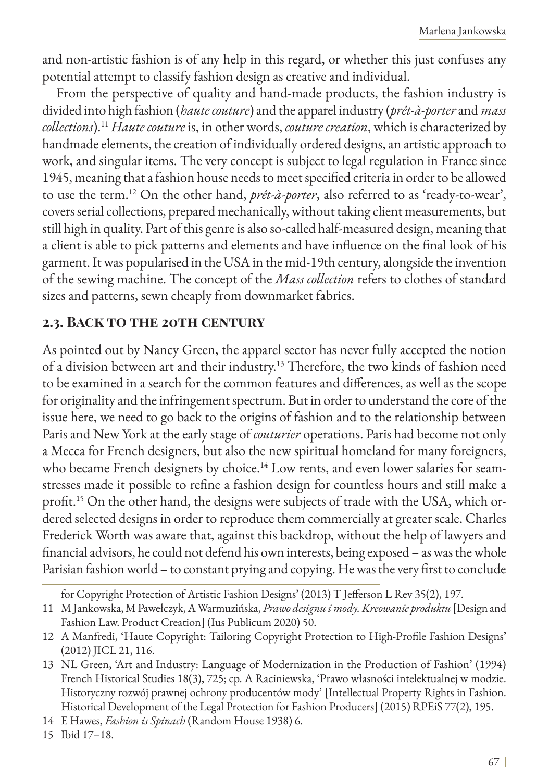and non-artistic fashion is of any help in this regard, or whether this just confuses any potential attempt to classify fashion design as creative and individual.

From the perspective of quality and hand-made products, the fashion industry is divided into high fashion (*haute couture*) and the apparel industry (*prêt-à-porter* and *mass collections*).<sup>11</sup> *Haute couture* is, in other words, *couture creation*, which is characterized by handmade elements, the creation of individually ordered designs, an artistic approach to work, and singular items. The very concept is subject to legal regulation in France since 1945, meaning that a fashion house needs to meet specified criteria in order to be allowed to use the term.12 On the other hand, *prêt-à-porter*, also referred to as 'ready-to-wear', covers serial collections, prepared mechanically, without taking client measurements, but still high in quality. Part of this genre is also so-called half-measured design, meaning that a client is able to pick patterns and elements and have influence on the final look of his garment. It was popularised in the USA in the mid-19th century, alongside the invention of the sewing machine. The concept of the *Mass collection* refers to clothes of standard sizes and patterns, sewn cheaply from downmarket fabrics.

### **2.3. Back to the 20th century**

As pointed out by Nancy Green, the apparel sector has never fully accepted the notion of a division between art and their industry.13 Therefore, the two kinds of fashion need to be examined in a search for the common features and differences, as well as the scope for originality and the infringement spectrum. But in order to understand the core of the issue here, we need to go back to the origins of fashion and to the relationship between Paris and New York at the early stage of *couturier* operations. Paris had become not only a Mecca for French designers, but also the new spiritual homeland for many foreigners, who became French designers by choice.<sup>14</sup> Low rents, and even lower salaries for seamstresses made it possible to refine a fashion design for countless hours and still make a profit.15 On the other hand, the designs were subjects of trade with the USA, which ordered selected designs in order to reproduce them commercially at greater scale. Charles Frederick Worth was aware that, against this backdrop, without the help of lawyers and financial advisors, he could not defend his own interests, being exposed – as was the whole Parisian fashion world – to constant prying and copying. He was the very first to conclude

for Copyright Protection of Artistic Fashion Designs' (2013) T Jefferson L Rev 35(2), 197.

<sup>11</sup> M Jankowska, M Pawełczyk, A Warmuzińska, *Prawo designu i mody. Kreowanie produktu* [Design and Fashion Law. Product Creation] (Ius Publicum 2020) 50.

<sup>12</sup> A Manfredi, 'Haute Copyright: Tailoring Copyright Protection to High-Profile Fashion Designs' (2012) JICL 21, 116.

<sup>13</sup> NL Green, 'Art and Industry: Language of Modernization in the Production of Fashion' (1994) French Historical Studies 18(3), 725; cp. A Raciniewska, 'Prawo własności intelektualnej w modzie. Historyczny rozwój prawnej ochrony producentów mody' [Intellectual Property Rights in Fashion. Historical Development of the Legal Protection for Fashion Producers] (2015) RPEiS 77(2), 195.

<sup>14</sup> E Hawes, *Fashion is Spinach* (Random House 1938) 6.

<sup>15</sup> Ibid 17–18.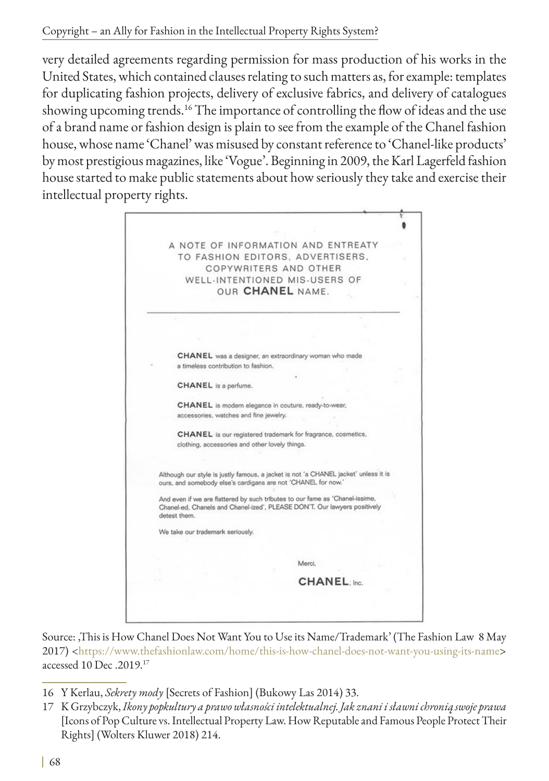very detailed agreements regarding permission for mass production of his works in the United States, which contained clauses relating to such matters as, for example: templates for duplicating fashion projects, delivery of exclusive fabrics, and delivery of catalogues showing upcoming trends.<sup>16</sup> The importance of controlling the flow of ideas and the use of a brand name or fashion design is plain to see from the example of the Chanel fashion house, whose name 'Chanel' was misused by constant reference to 'Chanel-like products' by most prestigious magazines, like 'Vogue'. Beginning in 2009, the Karl Lagerfeld fashion house started to make public statements about how seriously they take and exercise their intellectual property rights.



Source: 'This is How Chanel Does Not Want You to Use its Name/Trademark' (The Fashion Law 8 May 2017) <<https://www.thefashionlaw.com/home/this-is-how-chanel-does-not-want-you-using-its-name>> accessed 10 Dec .2019.17

- 16 Y Kerlau, *Sekrety mody* [Secrets of Fashion] (Bukowy Las 2014) 33.
- 17 K Grzybczyk, *Ikony popkultury a prawo własności intelektualnej. Jak znani i sławni chronią swoje prawa* [Icons of Pop Culture vs. Intellectual Property Law. How Reputable and Famous People Protect Their Rights] (Wolters Kluwer 2018) 214.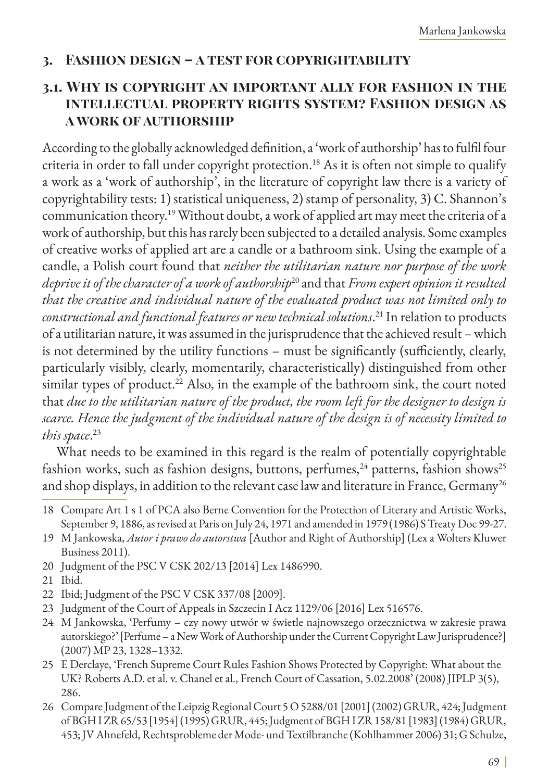#### **3. Fashion design – a test for copyrightability**

#### **3.1. Why is copyright an important ally for fashion in the intellectual property rights system? Fashion design as a work of authorship**

According to the globally acknowledged definition, a 'work of authorship' has to fulfil four criteria in order to fall under copyright protection.<sup>18</sup> As it is often not simple to qualify a work as a 'work of authorship', in the literature of copyright law there is a variety of copyrightability tests: 1) statistical uniqueness, 2) stamp of personality, 3) C. Shannon's communication theory.<sup>19</sup> Without doubt, a work of applied art may meet the criteria of a work of authorship, but this has rarely been subjected to a detailed analysis. Some examples of creative works of applied art are a candle or a bathroom sink. Using the example of a candle, a Polish court found that *neither the utilitarian nature nor purpose of the work deprive it of the character of a work of authorship*20 and that *From expert opinion it resulted that the creative and individual nature of the evaluated product was not limited only to constructional and functional features or new technical solutions*. 21 In relation to products of a utilitarian nature, it was assumed in the jurisprudence that the achieved result – which is not determined by the utility functions – must be significantly (sufficiently, clearly, particularly visibly, clearly, momentarily, characteristically) distinguished from other similar types of product.<sup>22</sup> Also, in the example of the bathroom sink, the court noted that *due to the utilitarian nature of the product, the room left for the designer to design is scarce. Hence the judgment of the individual nature of the design is of necessity limited to this space*. 23

What needs to be examined in this regard is the realm of potentially copyrightable fashion works, such as fashion designs, buttons, perfumes, $^{24}$  patterns, fashion shows<sup>25</sup> and shop displays, in addition to the relevant case law and literature in France, Germany<sup>26</sup>

- 19 M Jankowska, *Autor i prawo do autorstwa* [Author and Right of Authorship] (Lex a Wolters Kluwer Business 2011).
- 20 Judgment of the PSC V CSK 202/13 [2014] Lex 1486990.
- 21 Ibid.
- 22 Ibid; Judgment of the PSC V CSK 337/08 [2009].
- 23 Judgment of the Court of Appeals in Szczecin I Acz 1129/06 [2016] Lex 516576.
- 24 M Jankowska, 'Perfumy czy nowy utwór w świetle najnowszego orzecznictwa w zakresie prawa autorskiego?' [Perfume – a New Work of Authorship under the Current Copyright Law Jurisprudence?] (2007) MP 23, 1328–1332.
- 25 E Derclaye, 'French Supreme Court Rules Fashion Shows Protected by Copyright: What about the UK? Roberts A.D. et al. v. Chanel et al., French Court of Cassation, 5.02.2008' (2008) JIPLP 3(5), 286.
- 26 Compare Judgment of the Leipzig Regional Court 5 O 5288/01 [2001] (2002) GRUR, 424; Judgment of BGH I ZR 65/53 [1954] (1995) GRUR, 445; Judgment of BGH I ZR 158/81 [1983] (1984) GRUR, 453; JV Ahnefeld, Rechtsprobleme der Mode- und Textilbranche (Kohlhammer 2006) 31; G Schulze,

<sup>18</sup> Compare Art 1 s 1 of PCA also Berne Convention for the Protection of Literary and Artistic Works, September 9, 1886, as revised at Paris on July 24, 1971 and amended in 1979 (1986) S Treaty Doc 99-27.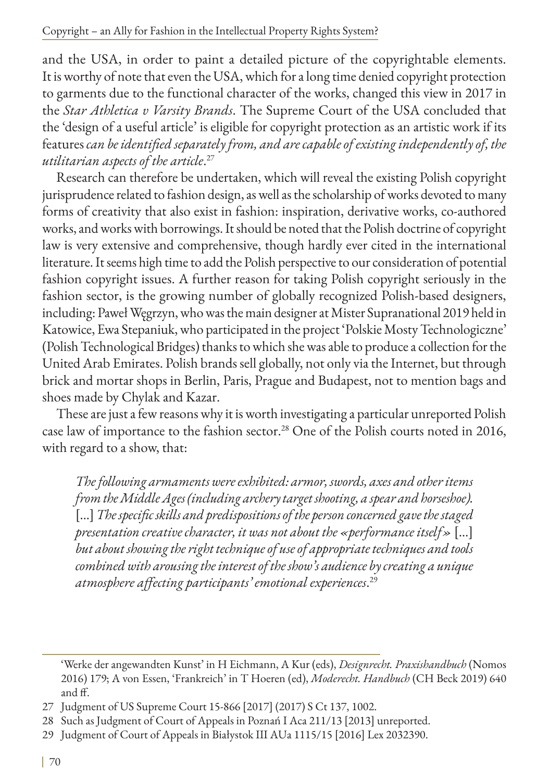and the USA, in order to paint a detailed picture of the copyrightable elements. It is worthy of note that even the USA, which for a long time denied copyright protection to garments due to the functional character of the works, changed this view in 2017 in the *Star Athletica v Varsity Brands*. The Supreme Court of the USA concluded that the 'design of a useful article' is eligible for copyright protection as an artistic work if its features *can be identified separately from, and are capable of existing independently of, the utilitarian aspects of the article*. 27

Research can therefore be undertaken, which will reveal the existing Polish copyright jurisprudence related to fashion design, as well as the scholarship of works devoted to many forms of creativity that also exist in fashion: inspiration, derivative works, co-authored works, and works with borrowings. It should be noted that the Polish doctrine of copyright law is very extensive and comprehensive, though hardly ever cited in the international literature. It seems high time to add the Polish perspective to our consideration of potential fashion copyright issues. A further reason for taking Polish copyright seriously in the fashion sector, is the growing number of globally recognized Polish-based designers, including: Paweł Węgrzyn, who was the main designer at Mister Supranational 2019 held in Katowice, Ewa Stepaniuk, who participated in the project 'Polskie Mosty Technologiczne' (Polish Technological Bridges) thanks to which she was able to produce a collection for the United Arab Emirates. Polish brands sell globally, not only via the Internet, but through brick and mortar shops in Berlin, Paris, Prague and Budapest, not to mention bags and shoes made by Chylak and Kazar.

These are just a few reasons why it is worth investigating a particular unreported Polish case law of importance to the fashion sector.<sup>28</sup> One of the Polish courts noted in 2016, with regard to a show, that:

*The following armaments were exhibited: armor, swords, axes and other items from the Middle Ages (including archery target shooting, a spear and horseshoe).* [...] *The specific skills and predispositions of the person concerned gave the staged presentation creative character, it was not about the «performance itself»* […] *but about showing the right technique of use of appropriate techniques and tools combined with arousing the interest of the show's audience by creating a unique atmosphere affecting participants' emotional experiences*. 29

<sup>&#</sup>x27;Werke der angewandten Kunst' in H Eichmann, A Kur (eds), *Designrecht. Praxishandbuch* (Nomos 2016) 179; A von Essen, 'Frankreich' in T Hoeren (ed), *Moderecht. Handbuch* (CH Beck 2019) 640 and ff.

<sup>27</sup> Judgment of US Supreme Court 15-866 [2017] (2017) S Ct 137, 1002.

<sup>28</sup> Such as Judgment of Court of Appeals in Poznań I Aca 211/13 [2013] unreported.

<sup>29</sup> Judgment of Court of Appeals in Białystok III AUa 1115/15 [2016] Lex 2032390.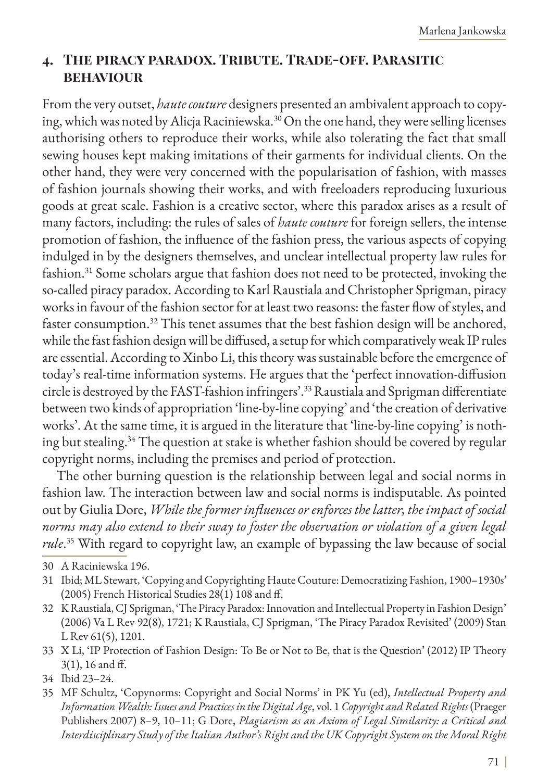## **4. The piracy paradox. Tribute. Trade-off. Parasitic behaviour**

From the very outset, *haute couture* designers presented an ambivalent approach to copying, which was noted by Alicja Raciniewska.30 On the one hand, they were selling licenses authorising others to reproduce their works, while also tolerating the fact that small sewing houses kept making imitations of their garments for individual clients. On the other hand, they were very concerned with the popularisation of fashion, with masses of fashion journals showing their works, and with freeloaders reproducing luxurious goods at great scale. Fashion is a creative sector, where this paradox arises as a result of many factors, including: the rules of sales of *haute couture* for foreign sellers, the intense promotion of fashion, the influence of the fashion press, the various aspects of copying indulged in by the designers themselves, and unclear intellectual property law rules for fashion.31 Some scholars argue that fashion does not need to be protected, invoking the so-called piracy paradox. According to Karl Raustiala and Christopher Sprigman, piracy works in favour of the fashion sector for at least two reasons: the faster flow of styles, and faster consumption.32 This tenet assumes that the best fashion design will be anchored, while the fast fashion design will be diffused, a setup for which comparatively weak IP rules are essential. According to Xinbo Li, this theory was sustainable before the emergence of today's real-time information systems. He argues that the 'perfect innovation-diffusion circle is destroyed by the FAST-fashion infringers'.33 Raustiala and Sprigman differentiate between two kinds of appropriation 'line-by-line copying' and 'the creation of derivative works'. At the same time, it is argued in the literature that 'line-by-line copying' is nothing but stealing.<sup>34</sup> The question at stake is whether fashion should be covered by regular copyright norms, including the premises and period of protection.

The other burning question is the relationship between legal and social norms in fashion law. The interaction between law and social norms is indisputable. As pointed out by Giulia Dore, *While the former influences or enforces the latter, the impact of social norms may also extend to their sway to foster the observation or violation of a given legal rule*. 35 With regard to copyright law, an example of bypassing the law because of social

- 31 Ibid; ML Stewart, 'Copying and Copyrighting Haute Couture: Democratizing Fashion, 1900–1930s' (2005) French Historical Studies 28(1) 108 and ff.
- 32 K Raustiala, CJ Sprigman, 'The Piracy Paradox: Innovation and Intellectual Property in Fashion Design' (2006) Va L Rev 92(8), 1721; K Raustiala, CJ Sprigman, 'The Piracy Paradox Revisited' (2009) Stan L Rev 61(5), 1201.
- 33 X Li, 'IP Protection of Fashion Design: To Be or Not to Be, that is the Question' (2012) IP Theory 3(1), 16 and ff.
- 34 Ibid 23–24.
- 35 MF Schultz, 'Copynorms: Copyright and Social Norms' in PK Yu (ed), *Intellectual Property and Information Wealth: Issues and Practices in the Digital Age*, vol. 1 *Copyright and Related Rights* (Praeger Publishers 2007) 8–9, 10–11; G Dore, *Plagiarism as an Axiom of Legal Similarity: a Critical and Interdisciplinary Study of the Italian Author's Right and the UK Copyright System on the Moral Right*

<sup>30</sup> A Raciniewska 196.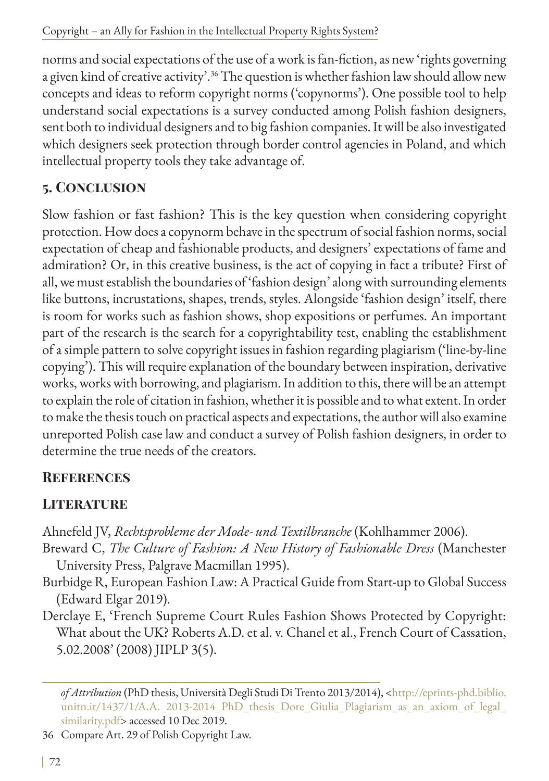norms and social expectations of the use of a work is fan-fiction, as new 'rights governing a given kind of creative activity'.<sup>36</sup> The question is whether fashion law should allow new concepts and ideas to reform copyright norms ('copynorms'). One possible tool to help understand social expectations is a survey conducted among Polish fashion designers, sent both to individual designers and to big fashion companies. It will be also investigated which designers seek protection through border control agencies in Poland, and which intellectual property tools they take advantage of.

## **5. Conclusion**

Slow fashion or fast fashion? This is the key question when considering copyright protection. How does a copynorm behave in the spectrum of social fashion norms, social expectation of cheap and fashionable products, and designers' expectations of fame and admiration? Or, in this creative business, is the act of copying in fact a tribute? First of all, we must establish the boundaries of 'fashion design' along with surrounding elements like buttons, incrustations, shapes, trends, styles. Alongside 'fashion design' itself, there is room for works such as fashion shows, shop expositions or perfumes. An important part of the research is the search for a copyrightability test, enabling the establishment of a simple pattern to solve copyright issues in fashion regarding plagiarism ('line-by-line copying'). This will require explanation of the boundary between inspiration, derivative works, works with borrowing, and plagiarism. In addition to this, there will be an attempt to explain the role of citation in fashion, whether it is possible and to what extent. In order to make the thesis touch on practical aspects and expectations, the author will also examine unreported Polish case law and conduct a survey of Polish fashion designers, in order to determine the true needs of the creators.

# **References**

# **LITERATURE**

Ahnefeld JV, *Rechtsprobleme der Mode- und Textilbranche* (Kohlhammer 2006).

- Breward C, *The Culture of Fashion: A New History of Fashionable Dress* (Manchester University Press, Palgrave Macmillan 1995).
- Burbidge R, European Fashion Law: A Practical Guide from Start-up to Global Success (Edward Elgar 2019).
- Derclaye E, 'French Supreme Court Rules Fashion Shows Protected by Copyright: What about the UK? Roberts A.D. et al. v. Chanel et al., French Court of Cassation, 5.02.2008' (2008) JIPLP 3(5).

36 Compare Art. 29 of Polish Copyright Law.

*of Attribution* (PhD thesis, Università Degli Studi Di Trento 2013/2014), [<http://eprints-phd.biblio.](http://eprints-phd.biblio.unitn.it/1437/1/A.A._2013-2014_PhD_thesis_Dore_Giulia_Plagiarism_as_an_axi) [unitn.it/1437/1/A.A.\\_2013-2014\\_PhD\\_thesis\\_Dore\\_Giulia\\_Plagiarism\\_as\\_an\\_axiom\\_of\\_legal\\_](http://eprints-phd.biblio.unitn.it/1437/1/A.A._2013-2014_PhD_thesis_Dore_Giulia_Plagiarism_as_an_axi) [similarity.pdf>](http://eprints-phd.biblio.unitn.it/1437/1/A.A._2013-2014_PhD_thesis_Dore_Giulia_Plagiarism_as_an_axi) accessed 10 Dec 2019.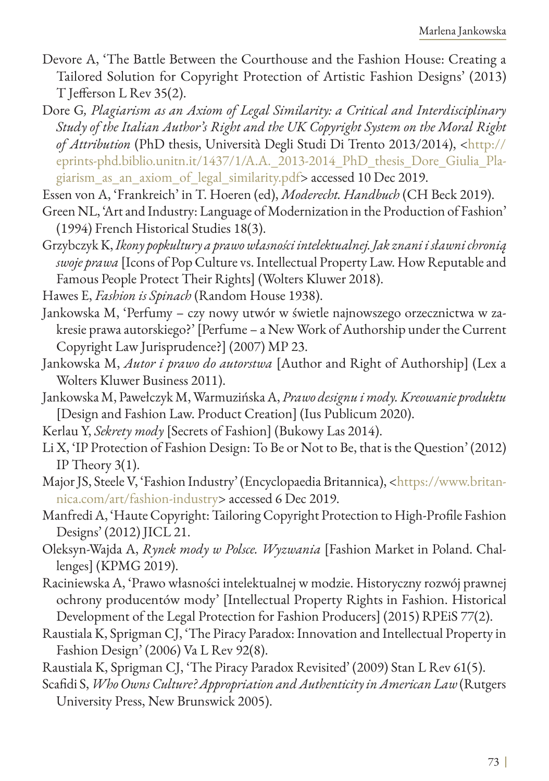- Devore A, 'The Battle Between the Courthouse and the Fashion House: Creating a Tailored Solution for Copyright Protection of Artistic Fashion Designs' (2013) T Jefferson L Rev 35(2).
- Dore G*, Plagiarism as an Axiom of Legal Similarity: a Critical and Interdisciplinary Study of the Italian Author's Right and the UK Copyright System on the Moral Right of Attribution* (PhD thesis, Università Degli Studi Di Trento 2013/2014), <[http://](http://eprints-phd.biblio.unitn.it/1437/1/A.A._2013-2014_PhD_thesis_Dore_Giulia_Plagiarism_as_an_axiom_of_legal_similarity.pdf) [eprints-phd.biblio.unitn.it/1437/1/A.A.\\_2013-2014\\_PhD\\_thesis\\_Dore\\_Giulia\\_Pla](http://eprints-phd.biblio.unitn.it/1437/1/A.A._2013-2014_PhD_thesis_Dore_Giulia_Plagiarism_as_an_axiom_of_legal_similarity.pdf)[giarism\\_as\\_an\\_axiom\\_of\\_legal\\_similarity.pdf](http://eprints-phd.biblio.unitn.it/1437/1/A.A._2013-2014_PhD_thesis_Dore_Giulia_Plagiarism_as_an_axiom_of_legal_similarity.pdf)> accessed 10 Dec 2019.
- Essen von A, 'Frankreich' in T. Hoeren (ed), *Moderecht. Handbuch* (CH Beck 2019).
- Green NL, 'Art and Industry: Language of Modernization in the Production of Fashion' (1994) French Historical Studies 18(3).
- Grzybczyk K, *Ikony popkultury a prawo własności intelektualnej. Jak znani i sławni chronią swoje prawa* [Icons of Pop Culture vs. Intellectual Property Law. How Reputable and Famous People Protect Their Rights] (Wolters Kluwer 2018).
- Hawes E, *Fashion is Spinach* (Random House 1938).
- Jankowska M, 'Perfumy czy nowy utwór w świetle najnowszego orzecznictwa w zakresie prawa autorskiego?' [Perfume – a New Work of Authorship under the Current Copyright Law Jurisprudence?] (2007) MP 23.
- Jankowska M, *Autor i prawo do autorstwa* [Author and Right of Authorship] (Lex a Wolters Kluwer Business 2011).
- Jankowska M, Pawełczyk M, Warmuzińska A, *Prawo designu i mody. Kreowanie produktu* [Design and Fashion Law. Product Creation] (Ius Publicum 2020).
- Kerlau Y, *Sekrety mody* [Secrets of Fashion] (Bukowy Las 2014).
- Li X, 'IP Protection of Fashion Design: To Be or Not to Be, that is the Question' (2012) IP Theory 3(1).
- Major JS, Steele V, 'Fashion Industry' (Encyclopaedia Britannica), [<https://www.britan](https://www.britannica.com/art/fashion-industry)[nica.com/art/fashion-industry](https://www.britannica.com/art/fashion-industry)> accessed 6 Dec 2019.
- Manfredi A, 'Haute Copyright: Tailoring Copyright Protection to High-Profile Fashion Designs' (2012) JICL 21.
- Oleksyn-Wajda A, *Rynek mody w Polsce. Wyzwania* [Fashion Market in Poland. Challenges] (KPMG 2019).
- Raciniewska A, 'Prawo własności intelektualnej w modzie. Historyczny rozwój prawnej ochrony producentów mody' [Intellectual Property Rights in Fashion. Historical Development of the Legal Protection for Fashion Producers] (2015) RPEiS 77(2).
- Raustiala K, Sprigman CJ, 'The Piracy Paradox: Innovation and Intellectual Property in Fashion Design' (2006) Va L Rev 92(8).
- Raustiala K, Sprigman CJ, 'The Piracy Paradox Revisited' (2009) Stan L Rev 61(5).
- Scafidi S, *Who Owns Culture? Appropriation and Authenticity in American Law* (Rutgers University Press, New Brunswick 2005).